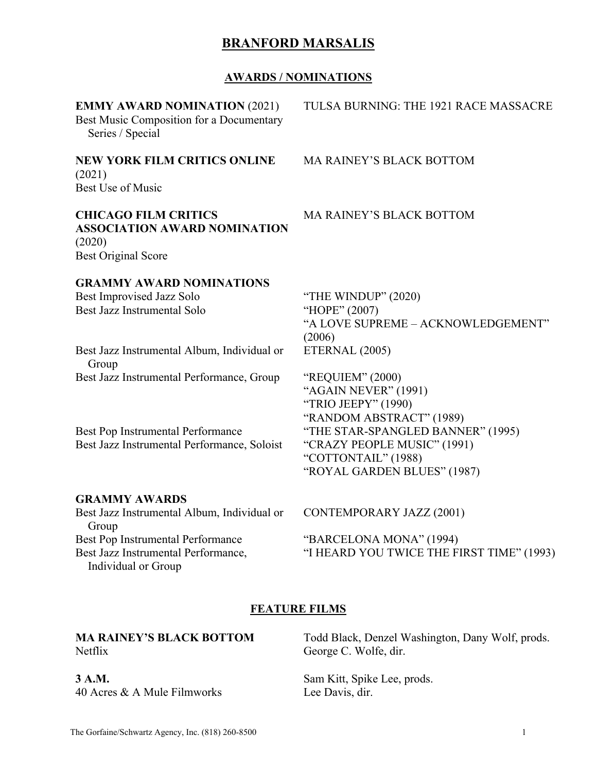#### **AWARDS / NOMINATIONS**

| <b>EMMY AWARD NOMINATION (2021)</b><br>Best Music Composition for a Documentary<br>Series / Special        | TULSA BURNING: THE 1921 RACE MASSACRE                                                                                  |
|------------------------------------------------------------------------------------------------------------|------------------------------------------------------------------------------------------------------------------------|
| <b>NEW YORK FILM CRITICS ONLINE</b><br>(2021)<br><b>Best Use of Music</b>                                  | <b>MA RAINEY'S BLACK BOTTOM</b>                                                                                        |
| <b>CHICAGO FILM CRITICS</b><br><b>ASSOCIATION AWARD NOMINATION</b><br>(2020)<br><b>Best Original Score</b> | <b>MA RAINEY'S BLACK BOTTOM</b>                                                                                        |
| <b>GRAMMY AWARD NOMINATIONS</b><br>Best Improvised Jazz Solo<br>Best Jazz Instrumental Solo                | "THE WINDUP" (2020)<br>"HOPE" (2007)<br>"A LOVE SUPREME - ACKNOWLEDGEMENT"<br>(2006)                                   |
| Best Jazz Instrumental Album, Individual or<br>Group                                                       | ETERNAL (2005)                                                                                                         |
| Best Jazz Instrumental Performance, Group                                                                  | "REQUIEM" (2000)<br>"AGAIN NEVER" (1991)<br>"TRIO JEEPY" (1990)<br>"RANDOM ABSTRACT" (1989)                            |
| Best Pop Instrumental Performance<br>Best Jazz Instrumental Performance, Soloist                           | "THE STAR-SPANGLED BANNER" (1995)<br>"CRAZY PEOPLE MUSIC" (1991)<br>"COTTONTAIL" (1988)<br>"ROYAL GARDEN BLUES" (1987) |
| <b>GRAMMY AWARDS</b>                                                                                       |                                                                                                                        |
| Best Jazz Instrumental Album, Individual or<br>Group                                                       | <b>CONTEMPORARY JAZZ (2001)</b>                                                                                        |
| Best Pop Instrumental Performance                                                                          | "BARCELONA MONA" (1994)                                                                                                |
| Best Jazz Instrumental Performance,                                                                        | "I HEARD YOU TWICE THE FIRST TIME" (1993)                                                                              |

### **FEATURE FILMS**

| <b>MA RAINEY'S BLACK BOTTOM</b> |  |
|---------------------------------|--|
| Netflix                         |  |

**3 A.M.** 40 Acres & A Mule Filmworks

Individual or Group

Todd Black, Denzel Washington, Dany Wolf, prods. George C. Wolfe, dir.

Sam Kitt, Spike Lee, prods. Lee Davis, dir.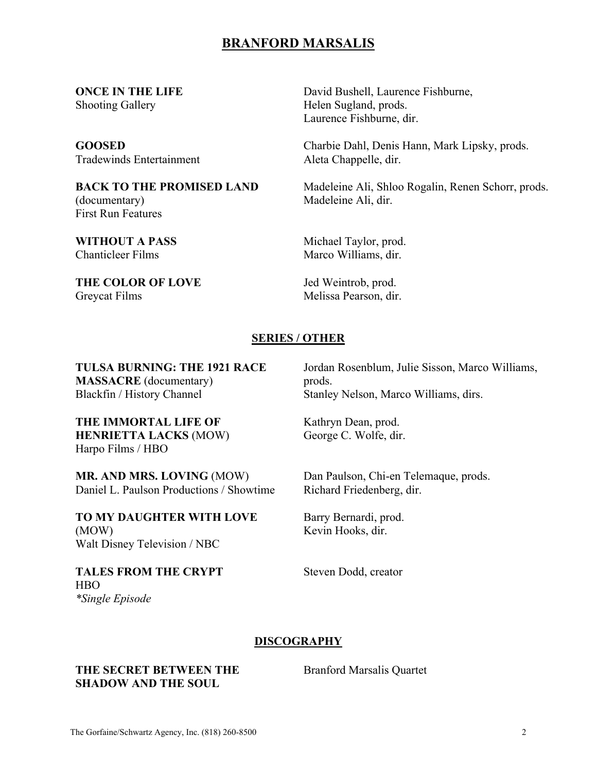**ONCE IN THE LIFE** Shooting Gallery

**GOOSED** Tradewinds Entertainment

**BACK TO THE PROMISED LAND** (documentary) First Run Features

**WITHOUT A PASS**  Chanticleer Films

**THE COLOR OF LOVE** Greycat Films

David Bushell, Laurence Fishburne, Helen Sugland, prods. Laurence Fishburne, dir.

Charbie Dahl, Denis Hann, Mark Lipsky, prods. Aleta Chappelle, dir.

Madeleine Ali, Shloo Rogalin, Renen Schorr, prods. Madeleine Ali, dir.

Michael Taylor, prod. Marco Williams, dir.

Jed Weintrob, prod. Melissa Pearson, dir.

#### **SERIES / OTHER**

**TULSA BURNING: THE 1921 RACE MASSACRE** (documentary) Blackfin / History Channel

**THE IMMORTAL LIFE OF HENRIETTA LACKS** (MOW) Harpo Films / HBO

**MR. AND MRS. LOVING** (MOW) Daniel L. Paulson Productions / Showtime

**TO MY DAUGHTER WITH LOVE** (MOW) Walt Disney Television / NBC

**TALES FROM THE CRYPT**  HBO *\*Single Episode* 

Jordan Rosenblum, Julie Sisson, Marco Williams, prods. Stanley Nelson, Marco Williams, dirs.

Kathryn Dean, prod. George C. Wolfe, dir.

Dan Paulson, Chi-en Telemaque, prods. Richard Friedenberg, dir.

Barry Bernardi, prod. Kevin Hooks, dir.

Steven Dodd, creator

#### **DISCOGRAPHY**

**THE SECRET BETWEEN THE SHADOW AND THE SOUL**

Branford Marsalis Quartet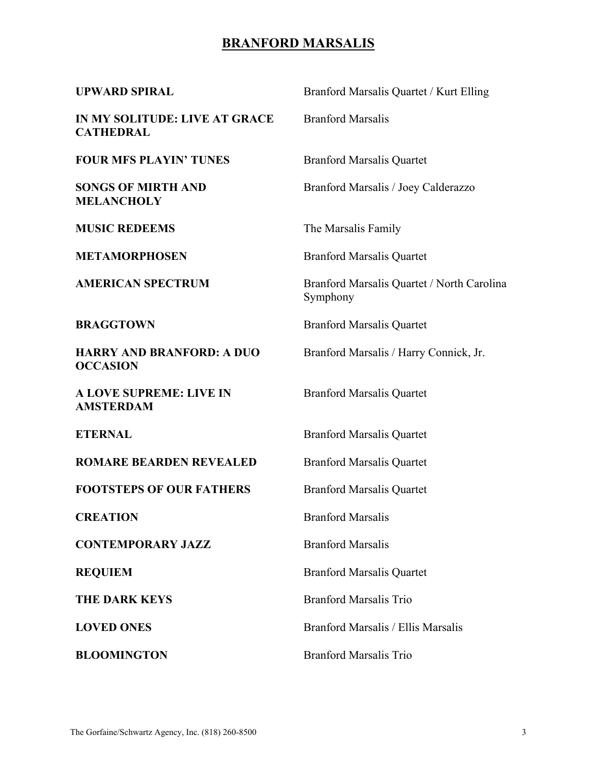| <b>UPWARD SPIRAL</b>                                | Branford Marsalis Quartet / Kurt Elling                |  |
|-----------------------------------------------------|--------------------------------------------------------|--|
| IN MY SOLITUDE: LIVE AT GRACE<br><b>CATHEDRAL</b>   | <b>Branford Marsalis</b>                               |  |
| <b>FOUR MFS PLAYIN' TUNES</b>                       | <b>Branford Marsalis Quartet</b>                       |  |
| <b>SONGS OF MIRTH AND</b><br><b>MELANCHOLY</b>      | Branford Marsalis / Joey Calderazzo                    |  |
| <b>MUSIC REDEEMS</b>                                | The Marsalis Family                                    |  |
| <b>METAMORPHOSEN</b>                                | <b>Branford Marsalis Quartet</b>                       |  |
| <b>AMERICAN SPECTRUM</b>                            | Branford Marsalis Quartet / North Carolina<br>Symphony |  |
| <b>BRAGGTOWN</b>                                    | <b>Branford Marsalis Quartet</b>                       |  |
| <b>HARRY AND BRANFORD: A DUO</b><br><b>OCCASION</b> | Branford Marsalis / Harry Connick, Jr.                 |  |
| A LOVE SUPREME: LIVE IN<br><b>AMSTERDAM</b>         | <b>Branford Marsalis Quartet</b>                       |  |
| <b>ETERNAL</b>                                      | <b>Branford Marsalis Quartet</b>                       |  |
| <b>ROMARE BEARDEN REVEALED</b>                      | <b>Branford Marsalis Quartet</b>                       |  |
| <b>FOOTSTEPS OF OUR FATHERS</b>                     | <b>Branford Marsalis Quartet</b>                       |  |
| <b>CREATION</b>                                     | <b>Branford Marsalis</b>                               |  |
| <b>CONTEMPORARY JAZZ</b>                            | <b>Branford Marsalis</b>                               |  |
| <b>REQUIEM</b>                                      | <b>Branford Marsalis Quartet</b>                       |  |
| <b>THE DARK KEYS</b>                                | <b>Branford Marsalis Trio</b>                          |  |
| <b>LOVED ONES</b>                                   | Branford Marsalis / Ellis Marsalis                     |  |
| <b>BLOOMINGTON</b>                                  | <b>Branford Marsalis Trio</b>                          |  |